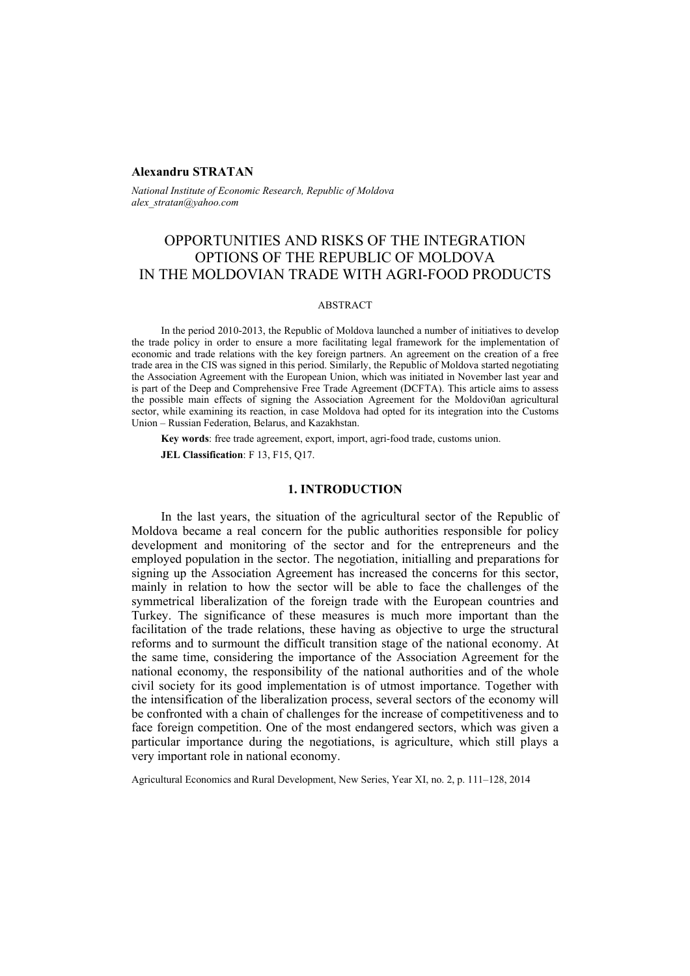## **Alexandru STRATAN**

*National Institute of Economic Research, Republic of Moldova alex\_stratan@yahoo.com* 

# OPPORTUNITIES AND RISKS OF THE INTEGRATION OPTIONS OF THE REPUBLIC OF MOLDOVA IN THE MOLDOVIAN TRADE WITH AGRI-FOOD PRODUCTS

#### ABSTRACT

In the period 2010-2013, the Republic of Moldova launched a number of initiatives to develop the trade policy in order to ensure a more facilitating legal framework for the implementation of economic and trade relations with the key foreign partners. An agreement on the creation of a free trade area in the CIS was signed in this period. Similarly, the Republic of Moldova started negotiating the Association Agreement with the European Union, which was initiated in November last year and is part of the Deep and Comprehensive Free Trade Agreement (DCFTA). This article aims to assess the possible main effects of signing the Association Agreement for the Moldovi0an agricultural sector, while examining its reaction, in case Moldova had opted for its integration into the Customs Union – Russian Federation, Belarus, and Kazakhstan.

**Key words**: free trade agreement, export, import, agri-food trade, customs union.

**JEL Classification**: F 13, F15, Q17.

# **1. INTRODUCTION**

In the last years, the situation of the agricultural sector of the Republic of Moldova became a real concern for the public authorities responsible for policy development and monitoring of the sector and for the entrepreneurs and the employed population in the sector. The negotiation, initialling and preparations for signing up the Association Agreement has increased the concerns for this sector, mainly in relation to how the sector will be able to face the challenges of the symmetrical liberalization of the foreign trade with the European countries and Turkey. The significance of these measures is much more important than the facilitation of the trade relations, these having as objective to urge the structural reforms and to surmount the difficult transition stage of the national economy. At the same time, considering the importance of the Association Agreement for the national economy, the responsibility of the national authorities and of the whole civil society for its good implementation is of utmost importance. Together with the intensification of the liberalization process, several sectors of the economy will be confronted with a chain of challenges for the increase of competitiveness and to face foreign competition. One of the most endangered sectors, which was given a particular importance during the negotiations, is agriculture, which still plays a very important role in national economy.

Agricultural Economics and Rural Development, New Series, Year XI, no. 2, p. 111–128, 2014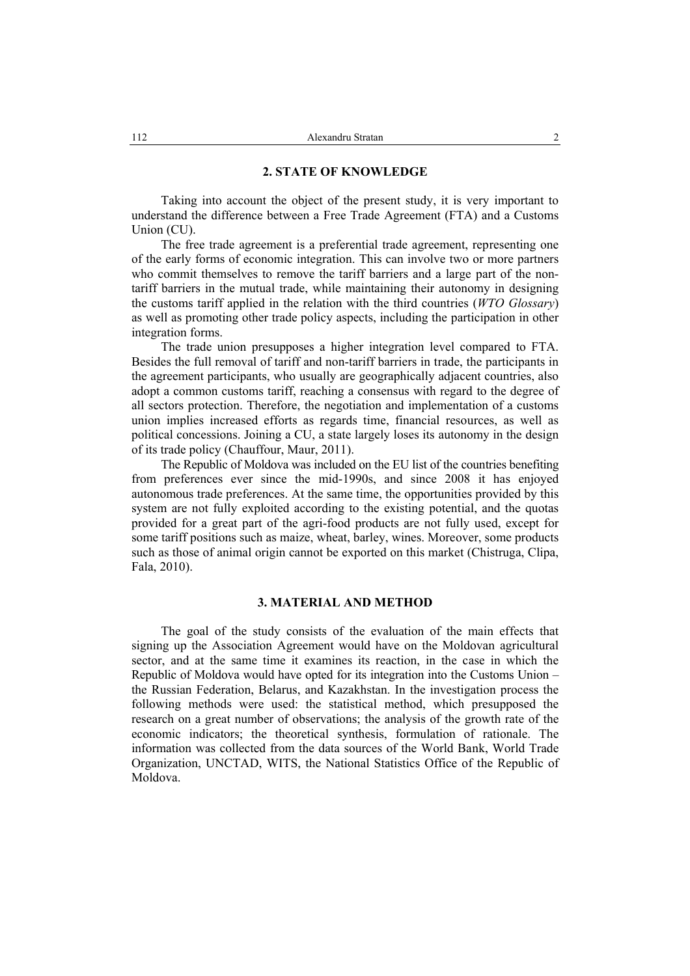## **2. STATE OF KNOWLEDGE**

Taking into account the object of the present study, it is very important to understand the difference between a Free Trade Agreement (FTA) and a Customs Union (CU).

The free trade agreement is a preferential trade agreement, representing one of the early forms of economic integration. This can involve two or more partners who commit themselves to remove the tariff barriers and a large part of the nontariff barriers in the mutual trade, while maintaining their autonomy in designing the customs tariff applied in the relation with the third countries (*WTO Glossary*) as well as promoting other trade policy aspects, including the participation in other integration forms.

The trade union presupposes a higher integration level compared to FTA. Besides the full removal of tariff and non-tariff barriers in trade, the participants in the agreement participants, who usually are geographically adjacent countries, also adopt a common customs tariff, reaching a consensus with regard to the degree of all sectors protection. Therefore, the negotiation and implementation of a customs union implies increased efforts as regards time, financial resources, as well as political concessions. Joining a CU, a state largely loses its autonomy in the design of its trade policy (Chauffour, Maur, 2011).

The Republic of Moldova was included on the EU list of the countries benefiting from preferences ever since the mid-1990s, and since 2008 it has enjoyed autonomous trade preferences. At the same time, the opportunities provided by this system are not fully exploited according to the existing potential, and the quotas provided for a great part of the agri-food products are not fully used, except for some tariff positions such as maize, wheat, barley, wines. Moreover, some products such as those of animal origin cannot be exported on this market (Chistruga, Clipa, Fala, 2010).

# **3. MATERIAL AND METHOD**

The goal of the study consists of the evaluation of the main effects that signing up the Association Agreement would have on the Moldovan agricultural sector, and at the same time it examines its reaction, in the case in which the Republic of Moldova would have opted for its integration into the Customs Union – the Russian Federation, Belarus, and Kazakhstan. In the investigation process the following methods were used: the statistical method, which presupposed the research on a great number of observations; the analysis of the growth rate of the economic indicators; the theoretical synthesis, formulation of rationale. The information was collected from the data sources of the World Bank, World Trade Organization, UNCTAD, WITS, the National Statistics Office of the Republic of Moldova.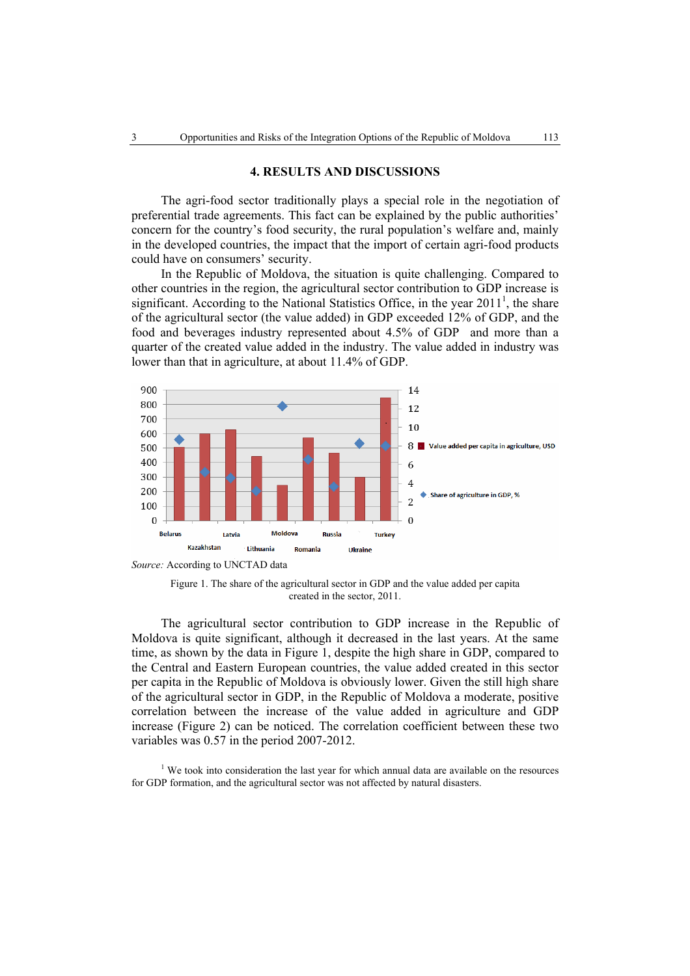## **4. RESULTS AND DISCUSSIONS**

The agri-food sector traditionally plays a special role in the negotiation of preferential trade agreements. This fact can be explained by the public authorities' concern for the country's food security, the rural population's welfare and, mainly in the developed countries, the impact that the import of certain agri-food products could have on consumers' security.

In the Republic of Moldova, the situation is quite challenging. Compared to other countries in the region, the agricultural sector contribution to GDP increase is significant. According to the National Statistics Office, in the year  $2011<sup>1</sup>$ , the share of the agricultural sector (the value added) in GDP exceeded 12% of GDP, and the food and beverages industry represented about 4.5% of GDP and more than a quarter of the created value added in the industry. The value added in industry was lower than that in agriculture, at about 11.4% of GDP.



Figure 1. The share of the agricultural sector in GDP and the value added per capita created in the sector, 2011.

The agricultural sector contribution to GDP increase in the Republic of Moldova is quite significant, although it decreased in the last years. At the same time, as shown by the data in Figure 1, despite the high share in GDP, compared to the Central and Eastern European countries, the value added created in this sector per capita in the Republic of Moldova is obviously lower. Given the still high share of the agricultural sector in GDP, in the Republic of Moldova a moderate, positive correlation between the increase of the value added in agriculture and GDP increase (Figure 2) can be noticed. The correlation coefficient between these two variables was 0.57 in the period 2007-2012.

 $1$  We took into consideration the last year for which annual data are available on the resources for GDP formation, and the agricultural sector was not affected by natural disasters.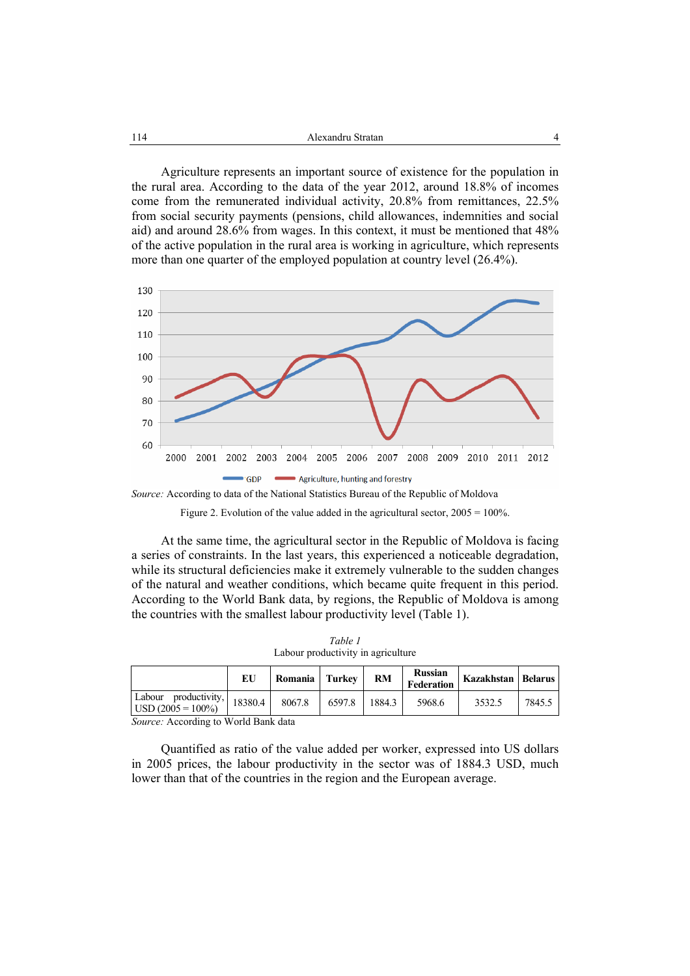Agriculture represents an important source of existence for the population in the rural area. According to the data of the year 2012, around 18.8% of incomes come from the remunerated individual activity, 20.8% from remittances, 22.5% from social security payments (pensions, child allowances, indemnities and social aid) and around 28.6% from wages. In this context, it must be mentioned that 48% of the active population in the rural area is working in agriculture, which represents more than one quarter of the employed population at country level (26.4%).



*Source:* According to data of the National Statistics Bureau of the Republic of Moldova

At the same time, the agricultural sector in the Republic of Moldova is facing a series of constraints. In the last years, this experienced a noticeable degradation, while its structural deficiencies make it extremely vulnerable to the sudden changes of the natural and weather conditions, which became quite frequent in this period. According to the World Bank data, by regions, the Republic of Moldova is among the countries with the smallest labour productivity level (Table 1).

*Table 1*  Labour productivity in agriculture

|                                              | ЕU      | Romania   Turkey |        | <b>RM</b> | <b>Russian</b><br>Federation | Kazakhstan   Belarus |        |
|----------------------------------------------|---------|------------------|--------|-----------|------------------------------|----------------------|--------|
| Labour productivity,<br>$USD (2005 = 100\%)$ | 18380.4 | 8067.8           | 6597.8 | 1884.3    | 5968.6                       | 3532.5               | 7845.5 |

*Source:* According to World Bank data

Quantified as ratio of the value added per worker, expressed into US dollars in 2005 prices, the labour productivity in the sector was of 1884.3 USD, much lower than that of the countries in the region and the European average.

Figure 2. Evolution of the value added in the agricultural sector,  $2005 = 100\%$ .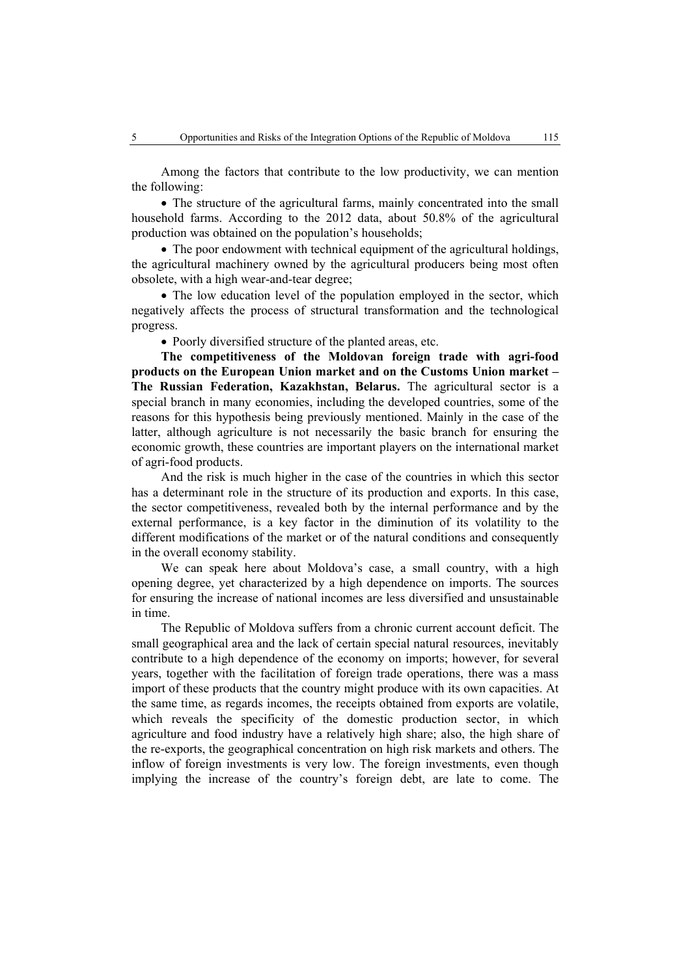Among the factors that contribute to the low productivity, we can mention the following:

• The structure of the agricultural farms, mainly concentrated into the small household farms. According to the 2012 data, about 50.8% of the agricultural production was obtained on the population's households;

• The poor endowment with technical equipment of the agricultural holdings, the agricultural machinery owned by the agricultural producers being most often obsolete, with a high wear-and-tear degree;

• The low education level of the population employed in the sector, which negatively affects the process of structural transformation and the technological progress.

• Poorly diversified structure of the planted areas, etc.

**The competitiveness of the Moldovan foreign trade with agri-food products on the European Union market and on the Customs Union market – The Russian Federation, Kazakhstan, Belarus.** The agricultural sector is a special branch in many economies, including the developed countries, some of the reasons for this hypothesis being previously mentioned. Mainly in the case of the latter, although agriculture is not necessarily the basic branch for ensuring the economic growth, these countries are important players on the international market of agri-food products.

And the risk is much higher in the case of the countries in which this sector has a determinant role in the structure of its production and exports. In this case, the sector competitiveness, revealed both by the internal performance and by the external performance, is a key factor in the diminution of its volatility to the different modifications of the market or of the natural conditions and consequently in the overall economy stability.

We can speak here about Moldova's case, a small country, with a high opening degree, yet characterized by a high dependence on imports. The sources for ensuring the increase of national incomes are less diversified and unsustainable in time.

The Republic of Moldova suffers from a chronic current account deficit. The small geographical area and the lack of certain special natural resources, inevitably contribute to a high dependence of the economy on imports; however, for several years, together with the facilitation of foreign trade operations, there was a mass import of these products that the country might produce with its own capacities. At the same time, as regards incomes, the receipts obtained from exports are volatile, which reveals the specificity of the domestic production sector, in which agriculture and food industry have a relatively high share; also, the high share of the re-exports, the geographical concentration on high risk markets and others. The inflow of foreign investments is very low. The foreign investments, even though implying the increase of the country's foreign debt, are late to come. The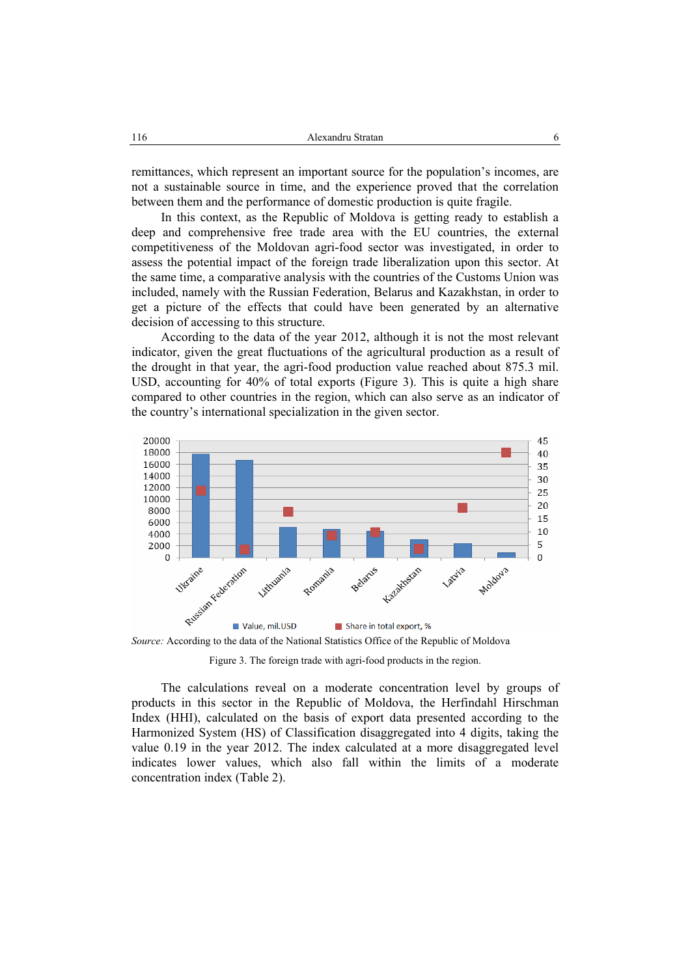remittances, which represent an important source for the population's incomes, are not a sustainable source in time, and the experience proved that the correlation between them and the performance of domestic production is quite fragile.

In this context, as the Republic of Moldova is getting ready to establish a deep and comprehensive free trade area with the EU countries, the external competitiveness of the Moldovan agri-food sector was investigated, in order to assess the potential impact of the foreign trade liberalization upon this sector. At the same time, a comparative analysis with the countries of the Customs Union was included, namely with the Russian Federation, Belarus and Kazakhstan, in order to get a picture of the effects that could have been generated by an alternative decision of accessing to this structure.

According to the data of the year 2012, although it is not the most relevant indicator, given the great fluctuations of the agricultural production as a result of the drought in that year, the agri-food production value reached about 875.3 mil. USD, accounting for 40% of total exports (Figure 3). This is quite a high share compared to other countries in the region, which can also serve as an indicator of the country's international specialization in the given sector.



Figure 3. The foreign trade with agri-food products in the region.

The calculations reveal on a moderate concentration level by groups of products in this sector in the Republic of Moldova, the Herfindahl Hirschman Index (HHI), calculated on the basis of export data presented according to the Harmonized System (HS) of Classification disaggregated into 4 digits, taking the value 0.19 in the year 2012. The index calculated at a more disaggregated level indicates lower values, which also fall within the limits of a moderate concentration index (Table 2).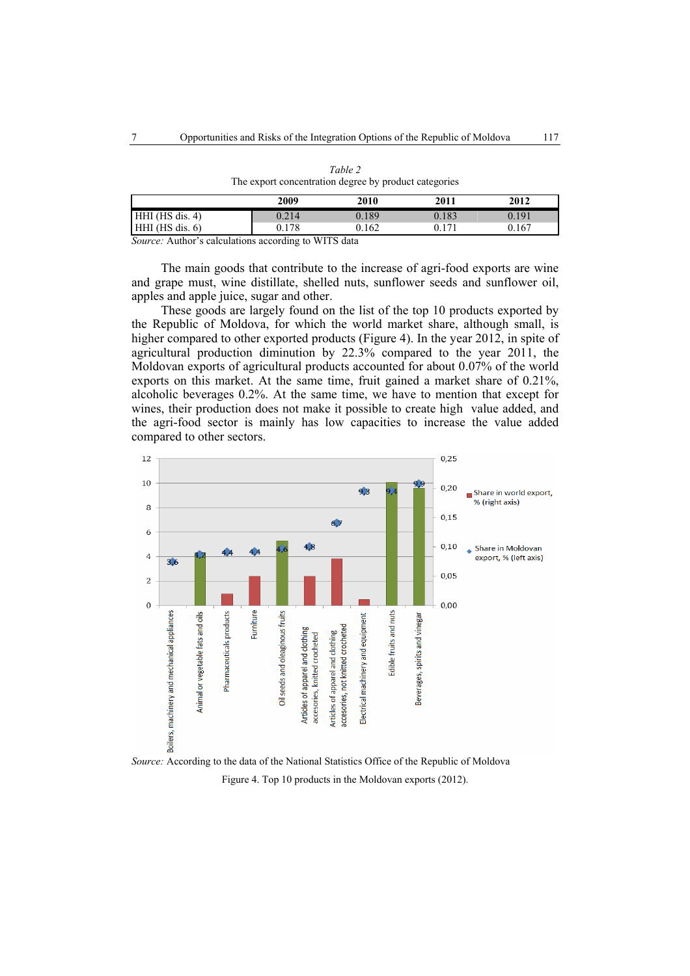|                   | 2009          | 2010   | 2011  | 2012  |
|-------------------|---------------|--------|-------|-------|
| HHI (HS dis. 4)   | 0.214         | 0.189  | 0.183 | 0.191 |
| $HHI$ (HS dis. 6) | 0.178         | 0.162  | በ 171 | 0.167 |
| ____              | $\sim$ $\sim$ | ______ |       |       |

*Table 2*  The export concentration degree by product categories

*Source:* Author's calculations according to WITS data

The main goods that contribute to the increase of agri-food exports are wine and grape must, wine distillate, shelled nuts, sunflower seeds and sunflower oil, apples and apple juice, sugar and other.

These goods are largely found on the list of the top 10 products exported by the Republic of Moldova, for which the world market share, although small, is higher compared to other exported products (Figure 4). In the year 2012, in spite of agricultural production diminution by 22.3% compared to the year 2011, the Moldovan exports of agricultural products accounted for about 0.07% of the world exports on this market. At the same time, fruit gained a market share of 0.21%, alcoholic beverages 0.2%. At the same time, we have to mention that except for wines, their production does not make it possible to create high value added, and the agri-food sector is mainly has low capacities to increase the value added compared to other sectors.



*Source:* According to the data of the National Statistics Office of the Republic of Moldova Figure 4. Top 10 products in the Moldovan exports (2012).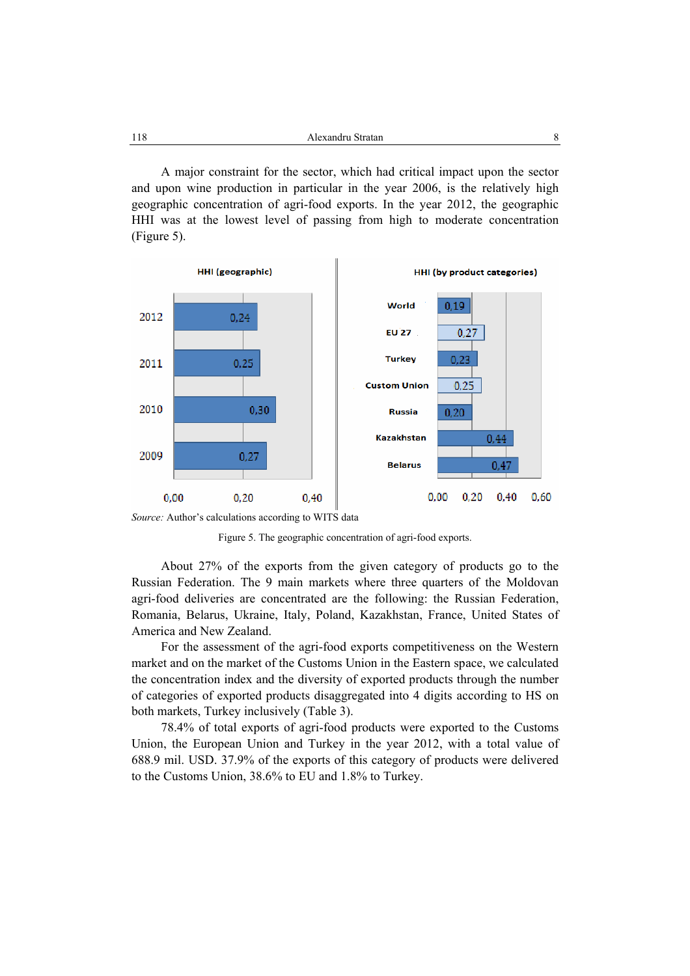A major constraint for the sector, which had critical impact upon the sector and upon wine production in particular in the year 2006, is the relatively high geographic concentration of agri-food exports. In the year 2012, the geographic HHI was at the lowest level of passing from high to moderate concentration (Figure 5).



*Source:* Author's calculations according to WITS data



About 27% of the exports from the given category of products go to the Russian Federation. The 9 main markets where three quarters of the Moldovan agri-food deliveries are concentrated are the following: the Russian Federation, Romania, Belarus, Ukraine, Italy, Poland, Kazakhstan, France, United States of America and New Zealand.

For the assessment of the agri-food exports competitiveness on the Western market and on the market of the Customs Union in the Eastern space, we calculated the concentration index and the diversity of exported products through the number of categories of exported products disaggregated into 4 digits according to HS on both markets, Turkey inclusively (Table 3).

78.4% of total exports of agri-food products were exported to the Customs Union, the European Union and Turkey in the year 2012, with a total value of 688.9 mil. USD. 37.9% of the exports of this category of products were delivered to the Customs Union, 38.6% to EU and 1.8% to Turkey.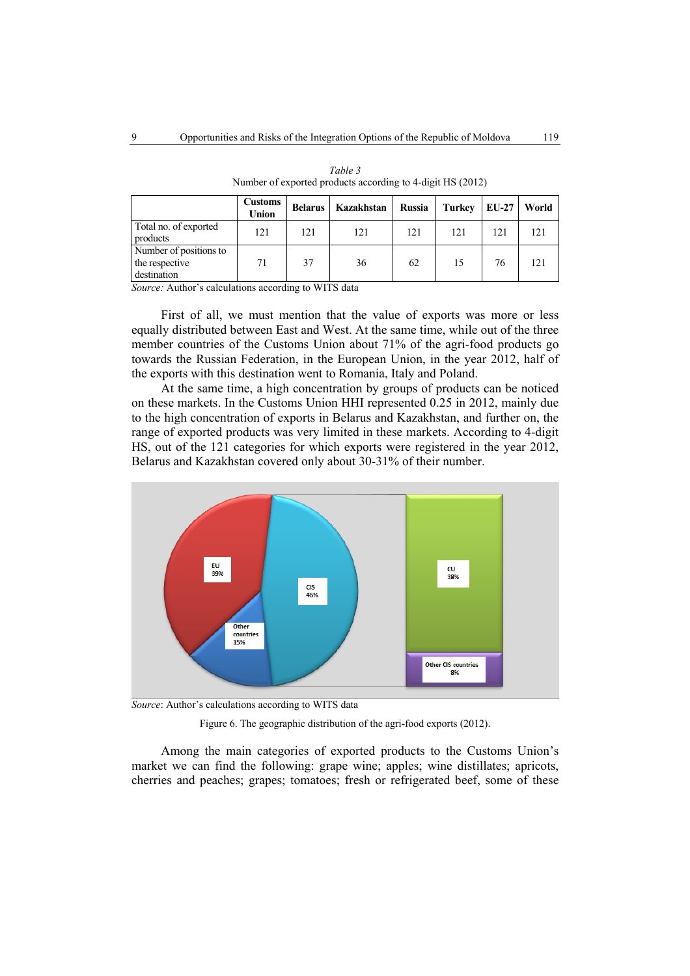|                                                         | <b>Customs</b><br>Union | <b>Belarus</b> | Kazakhstan | <b>Russia</b> | <b>Turkey</b> | <b>EU-27</b> | World |
|---------------------------------------------------------|-------------------------|----------------|------------|---------------|---------------|--------------|-------|
| Total no. of exported<br>products                       | 121                     | 121            | 121        | 121           | 121           | 121          | 121   |
| Number of positions to<br>the respective<br>destination | 71                      | 37             | 36         | 62            | 15            | 76           | 121   |

*Table 3*  Number of exported products according to 4-digit HS (2012)

*Source:* Author's calculations according to WITS data

First of all, we must mention that the value of exports was more or less equally distributed between East and West. At the same time, while out of the three member countries of the Customs Union about 71% of the agri-food products go towards the Russian Federation, in the European Union, in the year 2012, half of the exports with this destination went to Romania, Italy and Poland.

At the same time, a high concentration by groups of products can be noticed on these markets. In the Customs Union HHI represented 0.25 in 2012, mainly due to the high concentration of exports in Belarus and Kazakhstan, and further on, the range of exported products was very limited in these markets. According to 4-digit HS, out of the 121 categories for which exports were registered in the year 2012, Belarus and Kazakhstan covered only about 30-31% of their number.



*Source*: Author's calculations according to WITS data

Figure 6. The geographic distribution of the agri-food exports (2012).

Among the main categories of exported products to the Customs Union's market we can find the following: grape wine; apples; wine distillates; apricots, cherries and peaches; grapes; tomatoes; fresh or refrigerated beef, some of these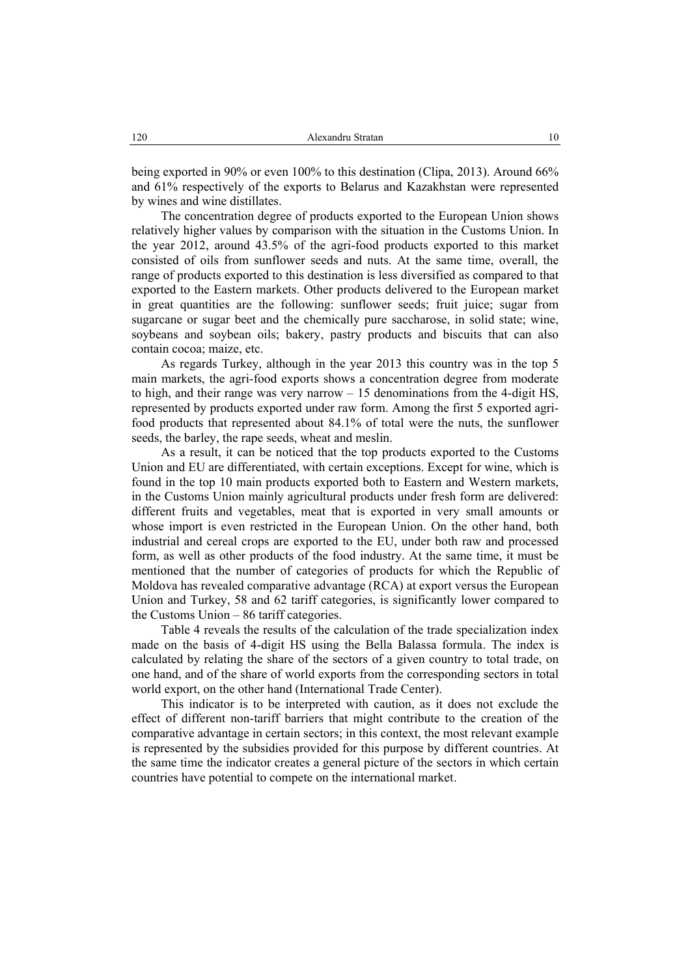being exported in 90% or even 100% to this destination (Clipa, 2013). Around 66% and 61% respectively of the exports to Belarus and Kazakhstan were represented by wines and wine distillates.

The concentration degree of products exported to the European Union shows relatively higher values by comparison with the situation in the Customs Union. In the year 2012, around 43.5% of the agri-food products exported to this market consisted of oils from sunflower seeds and nuts. At the same time, overall, the range of products exported to this destination is less diversified as compared to that exported to the Eastern markets. Other products delivered to the European market in great quantities are the following: sunflower seeds; fruit juice; sugar from sugarcane or sugar beet and the chemically pure saccharose, in solid state; wine, soybeans and soybean oils; bakery, pastry products and biscuits that can also contain cocoa; maize, etc.

As regards Turkey, although in the year 2013 this country was in the top 5 main markets, the agri-food exports shows a concentration degree from moderate to high, and their range was very narrow  $-15$  denominations from the 4-digit HS. represented by products exported under raw form. Among the first 5 exported agrifood products that represented about 84.1% of total were the nuts, the sunflower seeds, the barley, the rape seeds, wheat and meslin.

As a result, it can be noticed that the top products exported to the Customs Union and EU are differentiated, with certain exceptions. Except for wine, which is found in the top 10 main products exported both to Eastern and Western markets, in the Customs Union mainly agricultural products under fresh form are delivered: different fruits and vegetables, meat that is exported in very small amounts or whose import is even restricted in the European Union. On the other hand, both industrial and cereal crops are exported to the EU, under both raw and processed form, as well as other products of the food industry. At the same time, it must be mentioned that the number of categories of products for which the Republic of Moldova has revealed comparative advantage (RCA) at export versus the European Union and Turkey, 58 and 62 tariff categories, is significantly lower compared to the Customs Union – 86 tariff categories.

Table 4 reveals the results of the calculation of the trade specialization index made on the basis of 4-digit HS using the Bella Balassa formula. The index is calculated by relating the share of the sectors of a given country to total trade, on one hand, and of the share of world exports from the corresponding sectors in total world export, on the other hand (International Trade Center).

This indicator is to be interpreted with caution, as it does not exclude the effect of different non-tariff barriers that might contribute to the creation of the comparative advantage in certain sectors; in this context, the most relevant example is represented by the subsidies provided for this purpose by different countries. At the same time the indicator creates a general picture of the sectors in which certain countries have potential to compete on the international market.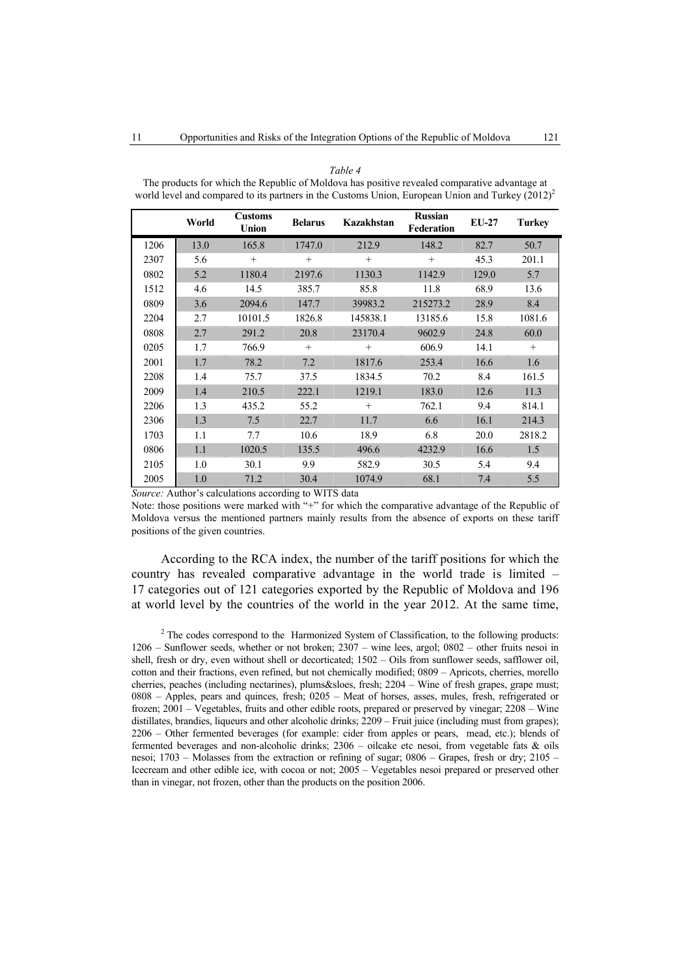|      | World | <b>Customs</b><br>Union | <b>Belarus</b> | Kazakhstan | <b>Russian</b><br>Federation | <b>EU-27</b> | <b>Turkey</b> |
|------|-------|-------------------------|----------------|------------|------------------------------|--------------|---------------|
| 1206 | 13.0  | 165.8                   | 1747.0         | 212.9      | 148.2                        | 82.7         | 50.7          |
| 2307 | 5.6   | $+$                     | $^{+}$         | $+$        | $+$                          | 45.3         | 201.1         |
| 0802 | 5.2   | 1180.4                  | 2197.6         | 1130.3     | 1142.9                       | 129.0        | 5.7           |
| 1512 | 4.6   | 14.5                    | 385.7          | 85.8       | 11.8                         | 68.9         | 13.6          |
| 0809 | 3.6   | 2094.6                  | 147.7          | 39983.2    | 215273.2                     | 28.9         | 8.4           |
| 2204 | 2.7   | 10101.5                 | 1826.8         | 145838.1   | 13185.6                      | 15.8         | 1081.6        |
| 0808 | 2.7   | 291.2                   | 20.8           | 23170.4    | 9602.9                       | 24.8         | 60.0          |
| 0205 | 1.7   | 766.9                   | $^{+}$         | $+$        | 606.9                        | 14.1         | $+$           |
| 2001 | 1.7   | 78.2                    | 7.2            | 1817.6     | 253.4                        | 16.6         | 1.6           |
| 2208 | 1.4   | 75.7                    | 37.5           | 1834.5     | 70.2                         | 8.4          | 161.5         |
| 2009 | 1.4   | 210.5                   | 222.1          | 1219.1     | 183.0                        | 12.6         | 11.3          |
| 2206 | 1.3   | 435.2                   | 55.2           | $^{+}$     | 762.1                        | 9.4          | 814.1         |
| 2306 | 1.3   | 7.5                     | 22.7           | 11.7       | 6.6                          | 16.1         | 214.3         |
| 1703 | 1.1   | 7.7                     | 10.6           | 18.9       | 6.8                          | 20.0         | 2818.2        |
| 0806 | 1.1   | 1020.5                  | 135.5          | 496.6      | 4232.9                       | 16.6         | 1.5           |
| 2105 | 1.0   | 30.1                    | 9.9            | 582.9      | 30.5                         | 5.4          | 9.4           |
| 2005 | 1.0   | 71.2                    | 30.4           | 1074.9     | 68.1                         | 7.4          | 5.5           |

*Table 4*  The products for which the Republic of Moldova has positive revealed comparative advantage at world level and compared to its partners in the Customs Union, European Union and Turkey  $(2012)^2$ 

*Source:* Author's calculations according to WITS data

Note: those positions were marked with "+" for which the comparative advantage of the Republic of Moldova versus the mentioned partners mainly results from the absence of exports on these tariff positions of the given countries.

According to the RCA index, the number of the tariff positions for which the country has revealed comparative advantage in the world trade is limited – 17 categories out of 121 categories exported by the Republic of Moldova and 196 at world level by the countries of the world in the year 2012. At the same time,

 $2^2$  The codes correspond to the Harmonized System of Classification, to the following products: 1206 – Sunflower seeds, whether or not broken; 2307 – wine lees, argol; 0802 – other fruits nesoi in shell, fresh or dry, even without shell or decorticated; 1502 – Oils from sunflower seeds, safflower oil, cotton and their fractions, even refined, but not chemically modified; 0809 – Apricots, cherries, morello cherries, peaches (including nectarines), plums&sloes, fresh; 2204 – Wine of fresh grapes, grape must; 0808 – Apples, pears and quinces, fresh; 0205 – Meat of horses, asses, mules, fresh, refrigerated or frozen; 2001 – Vegetables, fruits and other edible roots, prepared or preserved by vinegar; 2208 – Wine distillates, brandies, liqueurs and other alcoholic drinks; 2209 – Fruit juice (including must from grapes); 2206 – Other fermented beverages (for example: cider from apples or pears, mead, etc.); blends of fermented beverages and non-alcoholic drinks;  $2306 -$  oilcake etc nesoi, from vegetable fats & oils nesoi; 1703 – Molasses from the extraction or refining of sugar; 0806 – Grapes, fresh or dry; 2105 – Icecream and other edible ice, with cocoa or not; 2005 – Vegetables nesoi prepared or preserved other than in vinegar, not frozen, other than the products on the position 2006.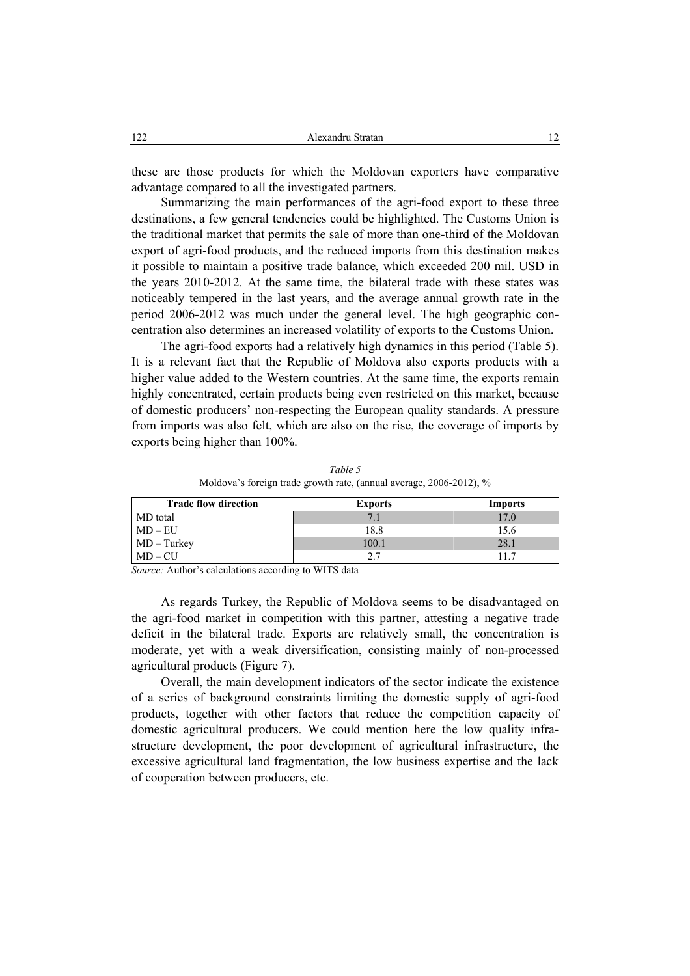these are those products for which the Moldovan exporters have comparative advantage compared to all the investigated partners.

Summarizing the main performances of the agri-food export to these three destinations, a few general tendencies could be highlighted. The Customs Union is the traditional market that permits the sale of more than one-third of the Moldovan export of agri-food products, and the reduced imports from this destination makes it possible to maintain a positive trade balance, which exceeded 200 mil. USD in the years 2010-2012. At the same time, the bilateral trade with these states was noticeably tempered in the last years, and the average annual growth rate in the period 2006-2012 was much under the general level. The high geographic concentration also determines an increased volatility of exports to the Customs Union.

The agri-food exports had a relatively high dynamics in this period (Table 5). It is a relevant fact that the Republic of Moldova also exports products with a higher value added to the Western countries. At the same time, the exports remain highly concentrated, certain products being even restricted on this market, because of domestic producers' non-respecting the European quality standards. A pressure from imports was also felt, which are also on the rise, the coverage of imports by exports being higher than 100%.

*Table 5*  Moldova's foreign trade growth rate, (annual average, 2006-2012), %

| <b>Trade flow direction</b> | <b>Exports</b> | <b>Imports</b> |
|-----------------------------|----------------|----------------|
| MD total                    |                | 17.0           |
| $MD - EU$                   | 18.8           | 15.6           |
| $MD - Turkey$<br>MD – CU    | 100.1          | 28.1           |
|                             | 2.7            |                |

*Source:* Author's calculations according to WITS data

As regards Turkey, the Republic of Moldova seems to be disadvantaged on the agri-food market in competition with this partner, attesting a negative trade deficit in the bilateral trade. Exports are relatively small, the concentration is moderate, yet with a weak diversification, consisting mainly of non-processed agricultural products (Figure 7).

Overall, the main development indicators of the sector indicate the existence of a series of background constraints limiting the domestic supply of agri-food products, together with other factors that reduce the competition capacity of domestic agricultural producers. We could mention here the low quality infrastructure development, the poor development of agricultural infrastructure, the excessive agricultural land fragmentation, the low business expertise and the lack of cooperation between producers, etc.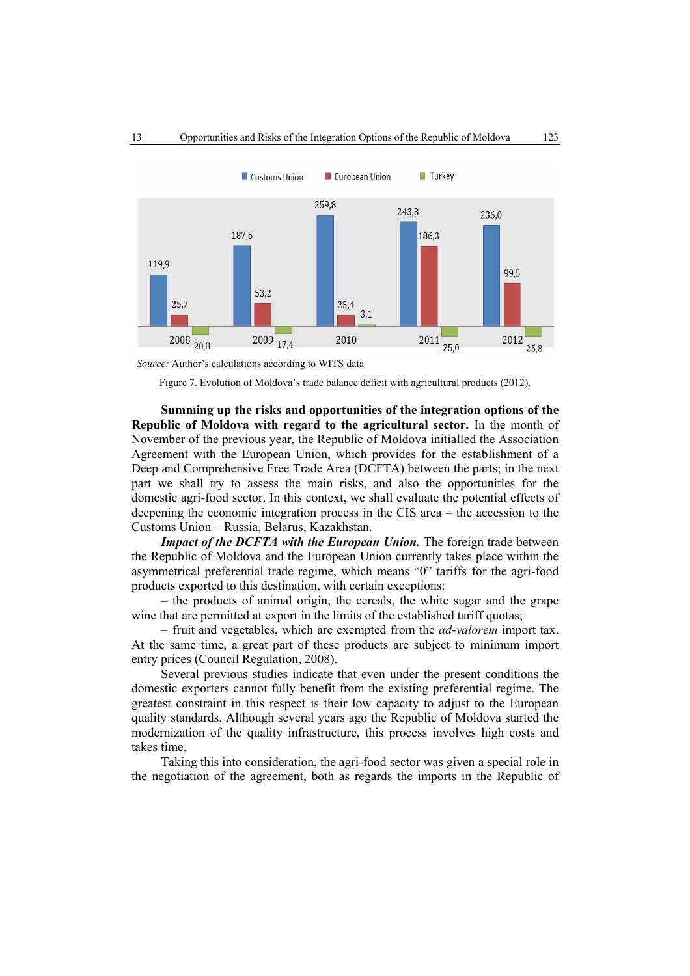

 *Source:* Author's calculations according to WITS data

Figure 7. Evolution of Moldova's trade balance deficit with agricultural products (2012).

**Summing up the risks and opportunities of the integration options of the Republic of Moldova with regard to the agricultural sector.** In the month of November of the previous year, the Republic of Moldova initialled the Association Agreement with the European Union, which provides for the establishment of a Deep and Comprehensive Free Trade Area (DCFTA) between the parts; in the next part we shall try to assess the main risks, and also the opportunities for the domestic agri-food sector. In this context, we shall evaluate the potential effects of deepening the economic integration process in the CIS area – the accession to the Customs Union – Russia, Belarus, Kazakhstan.

*Impact of the DCFTA with the European Union.* The foreign trade between the Republic of Moldova and the European Union currently takes place within the asymmetrical preferential trade regime, which means "0" tariffs for the agri-food products exported to this destination, with certain exceptions:

– the products of animal origin, the cereals, the white sugar and the grape wine that are permitted at export in the limits of the established tariff quotas;

– fruit and vegetables, which are exempted from the *ad-valorem* import tax. At the same time, a great part of these products are subject to minimum import entry prices (Council Regulation, 2008).

Several previous studies indicate that even under the present conditions the domestic exporters cannot fully benefit from the existing preferential regime. The greatest constraint in this respect is their low capacity to adjust to the European quality standards. Although several years ago the Republic of Moldova started the modernization of the quality infrastructure, this process involves high costs and takes time.

Taking this into consideration, the agri-food sector was given a special role in the negotiation of the agreement, both as regards the imports in the Republic of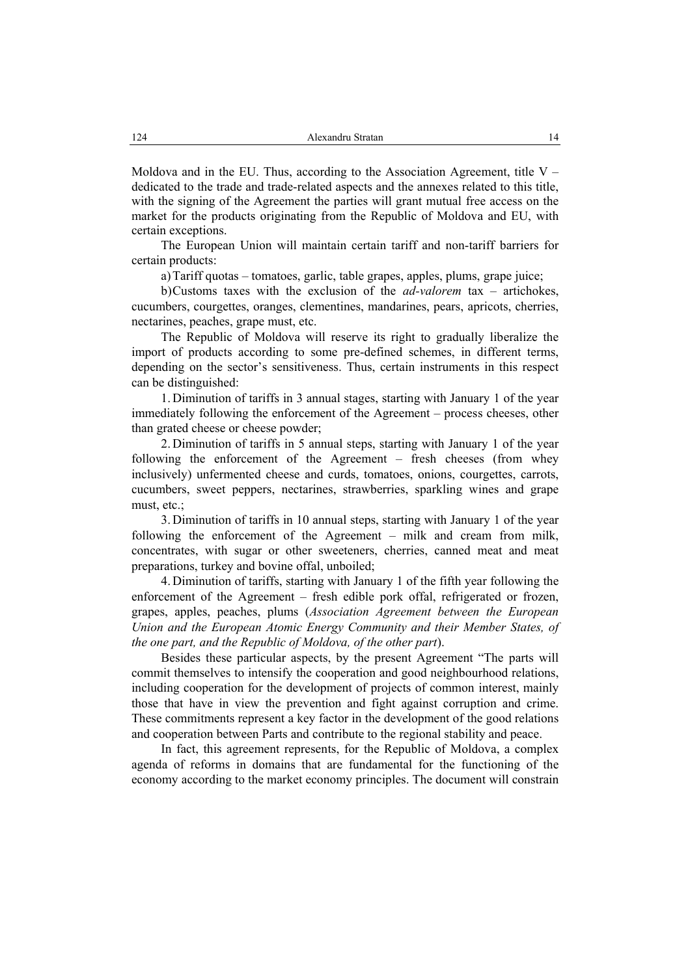Moldova and in the EU. Thus, according to the Association Agreement, title  $V$ dedicated to the trade and trade-related aspects and the annexes related to this title, with the signing of the Agreement the parties will grant mutual free access on the market for the products originating from the Republic of Moldova and EU, with certain exceptions.

The European Union will maintain certain tariff and non-tariff barriers for certain products:

a)Tariff quotas – tomatoes, garlic, table grapes, apples, plums, grape juice;

b)Customs taxes with the exclusion of the *ad-valorem* tax – artichokes, cucumbers, courgettes, oranges, clementines, mandarines, pears, apricots, cherries, nectarines, peaches, grape must, etc.

The Republic of Moldova will reserve its right to gradually liberalize the import of products according to some pre-defined schemes, in different terms, depending on the sector's sensitiveness. Thus, certain instruments in this respect can be distinguished:

1. Diminution of tariffs in 3 annual stages, starting with January 1 of the year immediately following the enforcement of the Agreement – process cheeses, other than grated cheese or cheese powder;

2. Diminution of tariffs in 5 annual steps, starting with January 1 of the year following the enforcement of the Agreement – fresh cheeses (from whey inclusively) unfermented cheese and curds, tomatoes, onions, courgettes, carrots, cucumbers, sweet peppers, nectarines, strawberries, sparkling wines and grape must, etc.;

3. Diminution of tariffs in 10 annual steps, starting with January 1 of the year following the enforcement of the Agreement – milk and cream from milk, concentrates, with sugar or other sweeteners, cherries, canned meat and meat preparations, turkey and bovine offal, unboiled;

4. Diminution of tariffs, starting with January 1 of the fifth year following the enforcement of the Agreement – fresh edible pork offal, refrigerated or frozen, grapes, apples, peaches, plums (*Association Agreement between the European Union and the European Atomic Energy Community and their Member States, of the one part, and the Republic of Moldova, of the other part*).

Besides these particular aspects, by the present Agreement "The parts will commit themselves to intensify the cooperation and good neighbourhood relations, including cooperation for the development of projects of common interest, mainly those that have in view the prevention and fight against corruption and crime. These commitments represent a key factor in the development of the good relations and cooperation between Parts and contribute to the regional stability and peace.

In fact, this agreement represents, for the Republic of Moldova, a complex agenda of reforms in domains that are fundamental for the functioning of the economy according to the market economy principles. The document will constrain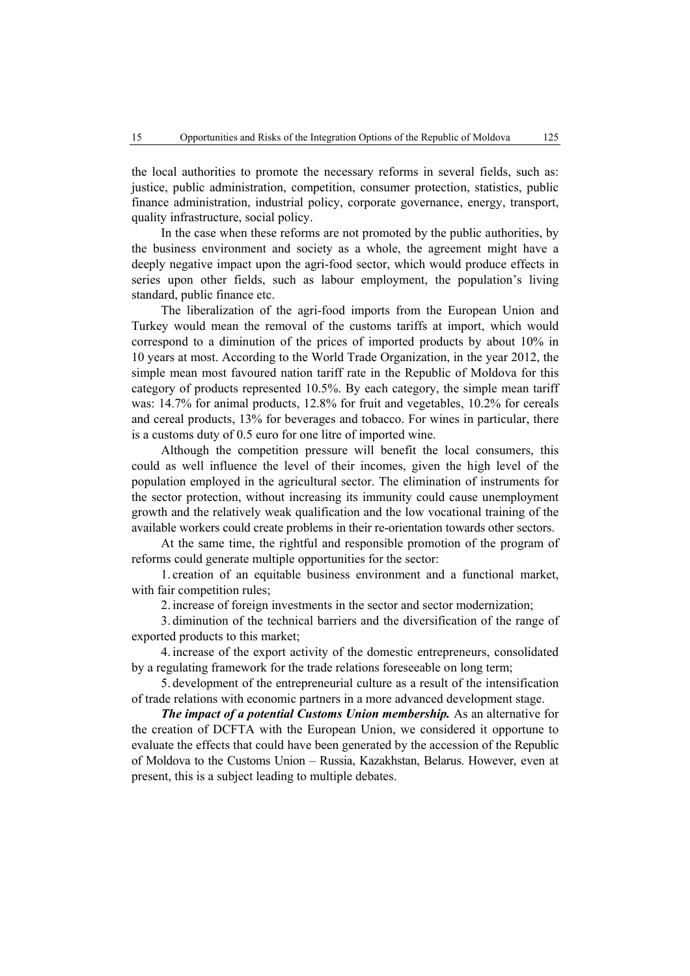the local authorities to promote the necessary reforms in several fields, such as: justice, public administration, competition, consumer protection, statistics, public finance administration, industrial policy, corporate governance, energy, transport, quality infrastructure, social policy.

In the case when these reforms are not promoted by the public authorities, by the business environment and society as a whole, the agreement might have a deeply negative impact upon the agri-food sector, which would produce effects in series upon other fields, such as labour employment, the population's living standard, public finance etc.

The liberalization of the agri-food imports from the European Union and Turkey would mean the removal of the customs tariffs at import, which would correspond to a diminution of the prices of imported products by about 10% in 10 years at most. According to the World Trade Organization, in the year 2012, the simple mean most favoured nation tariff rate in the Republic of Moldova for this category of products represented 10.5%. By each category, the simple mean tariff was: 14.7% for animal products, 12.8% for fruit and vegetables, 10.2% for cereals and cereal products, 13% for beverages and tobacco. For wines in particular, there is a customs duty of 0.5 euro for one litre of imported wine.

Although the competition pressure will benefit the local consumers, this could as well influence the level of their incomes, given the high level of the population employed in the agricultural sector. The elimination of instruments for the sector protection, without increasing its immunity could cause unemployment growth and the relatively weak qualification and the low vocational training of the available workers could create problems in their re-orientation towards other sectors.

At the same time, the rightful and responsible promotion of the program of reforms could generate multiple opportunities for the sector:

1. creation of an equitable business environment and a functional market, with fair competition rules;

2. increase of foreign investments in the sector and sector modernization;

3. diminution of the technical barriers and the diversification of the range of exported products to this market;

4. increase of the export activity of the domestic entrepreneurs, consolidated by a regulating framework for the trade relations foreseeable on long term;

5. development of the entrepreneurial culture as a result of the intensification of trade relations with economic partners in a more advanced development stage.

*The impact of a potential Customs Union membership.* As an alternative for the creation of DCFTA with the European Union, we considered it opportune to evaluate the effects that could have been generated by the accession of the Republic of Moldova to the Customs Union – Russia, Kazakhstan, Belarus. However, even at present, this is a subject leading to multiple debates.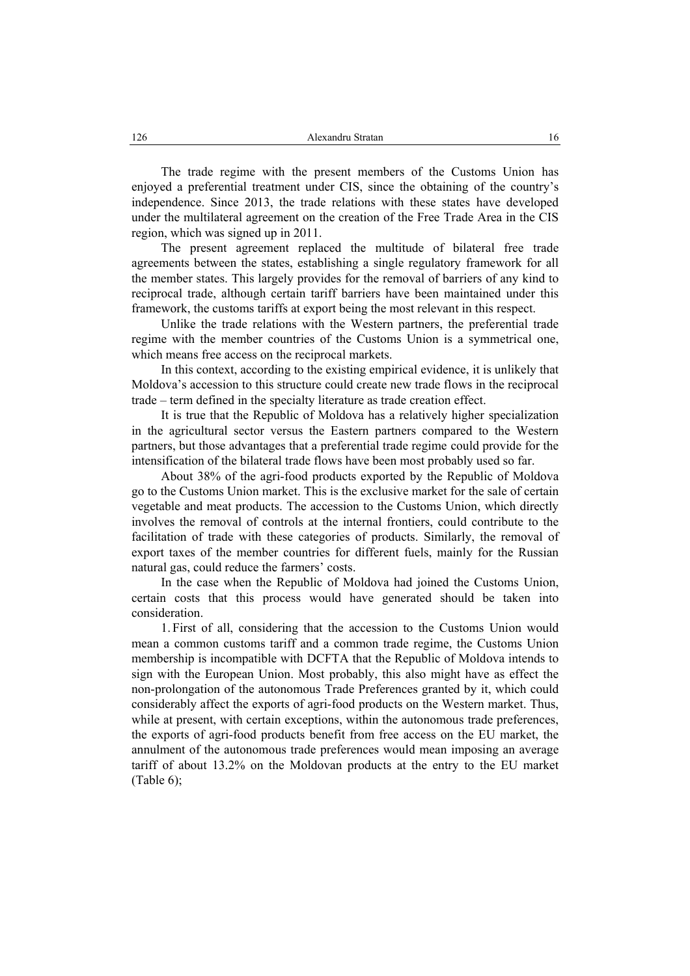The trade regime with the present members of the Customs Union has enjoyed a preferential treatment under CIS, since the obtaining of the country's independence. Since 2013, the trade relations with these states have developed under the multilateral agreement on the creation of the Free Trade Area in the CIS region, which was signed up in 2011.

The present agreement replaced the multitude of bilateral free trade agreements between the states, establishing a single regulatory framework for all the member states. This largely provides for the removal of barriers of any kind to reciprocal trade, although certain tariff barriers have been maintained under this framework, the customs tariffs at export being the most relevant in this respect.

Unlike the trade relations with the Western partners, the preferential trade regime with the member countries of the Customs Union is a symmetrical one, which means free access on the reciprocal markets.

In this context, according to the existing empirical evidence, it is unlikely that Moldova's accession to this structure could create new trade flows in the reciprocal trade – term defined in the specialty literature as trade creation effect.

It is true that the Republic of Moldova has a relatively higher specialization in the agricultural sector versus the Eastern partners compared to the Western partners, but those advantages that a preferential trade regime could provide for the intensification of the bilateral trade flows have been most probably used so far.

About 38% of the agri-food products exported by the Republic of Moldova go to the Customs Union market. This is the exclusive market for the sale of certain vegetable and meat products. The accession to the Customs Union, which directly involves the removal of controls at the internal frontiers, could contribute to the facilitation of trade with these categories of products. Similarly, the removal of export taxes of the member countries for different fuels, mainly for the Russian natural gas, could reduce the farmers' costs.

In the case when the Republic of Moldova had joined the Customs Union, certain costs that this process would have generated should be taken into consideration.

1. First of all, considering that the accession to the Customs Union would mean a common customs tariff and a common trade regime, the Customs Union membership is incompatible with DCFTA that the Republic of Moldova intends to sign with the European Union. Most probably, this also might have as effect the non-prolongation of the autonomous Trade Preferences granted by it, which could considerably affect the exports of agri-food products on the Western market. Thus, while at present, with certain exceptions, within the autonomous trade preferences, the exports of agri-food products benefit from free access on the EU market, the annulment of the autonomous trade preferences would mean imposing an average tariff of about 13.2% on the Moldovan products at the entry to the EU market (Table 6);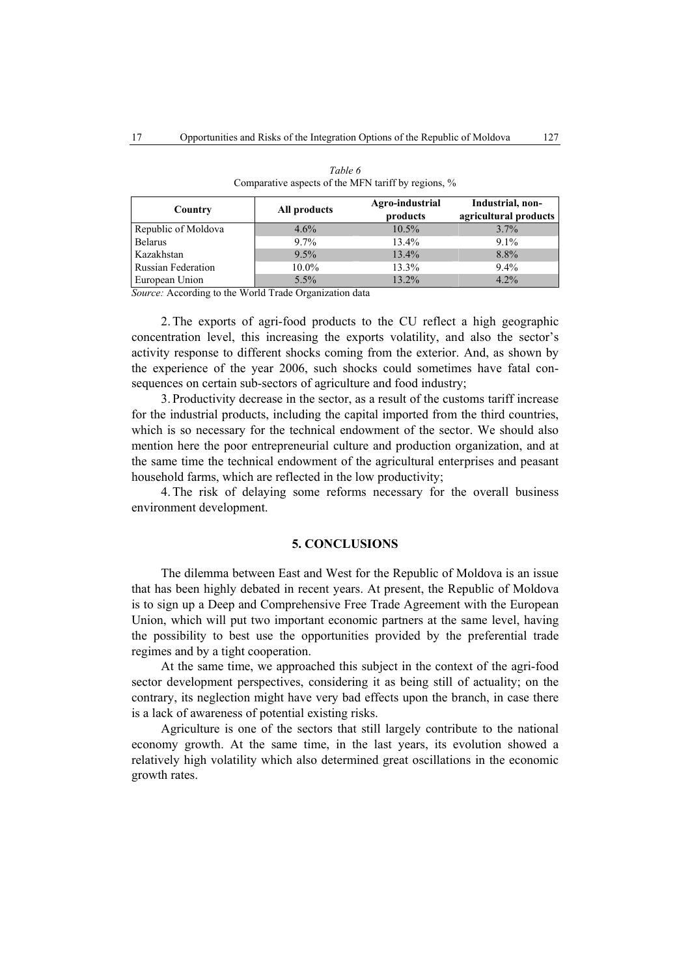| Country                   | All products | Agro-industrial<br>products | Industrial, non-<br>agricultural products |  |
|---------------------------|--------------|-----------------------------|-------------------------------------------|--|
| Republic of Moldova       | 4.6%         | $10.5\%$                    | 3.7%                                      |  |
| <b>Belarus</b>            | 9.7%         | 13.4%                       | $9.1\%$                                   |  |
| Kazakhstan                | 9.5%         | 13.4%                       | 8.8%                                      |  |
| <b>Russian Federation</b> | 10.0%        | 13.3%                       | $9.4\%$                                   |  |
| European Union            | $5.5\%$      | 13.2%                       | 4.2%                                      |  |

| Table 6                                             |
|-----------------------------------------------------|
| Comparative aspects of the MFN tariff by regions, % |

*Source:* According to the World Trade Organization data

2. The exports of agri-food products to the CU reflect a high geographic concentration level, this increasing the exports volatility, and also the sector's activity response to different shocks coming from the exterior. And, as shown by the experience of the year 2006, such shocks could sometimes have fatal consequences on certain sub-sectors of agriculture and food industry;

3. Productivity decrease in the sector, as a result of the customs tariff increase for the industrial products, including the capital imported from the third countries, which is so necessary for the technical endowment of the sector. We should also mention here the poor entrepreneurial culture and production organization, and at the same time the technical endowment of the agricultural enterprises and peasant household farms, which are reflected in the low productivity;

4. The risk of delaying some reforms necessary for the overall business environment development.

### **5. CONCLUSIONS**

The dilemma between East and West for the Republic of Moldova is an issue that has been highly debated in recent years. At present, the Republic of Moldova is to sign up a Deep and Comprehensive Free Trade Agreement with the European Union, which will put two important economic partners at the same level, having the possibility to best use the opportunities provided by the preferential trade regimes and by a tight cooperation.

At the same time, we approached this subject in the context of the agri-food sector development perspectives, considering it as being still of actuality; on the contrary, its neglection might have very bad effects upon the branch, in case there is a lack of awareness of potential existing risks.

Agriculture is one of the sectors that still largely contribute to the national economy growth. At the same time, in the last years, its evolution showed a relatively high volatility which also determined great oscillations in the economic growth rates.